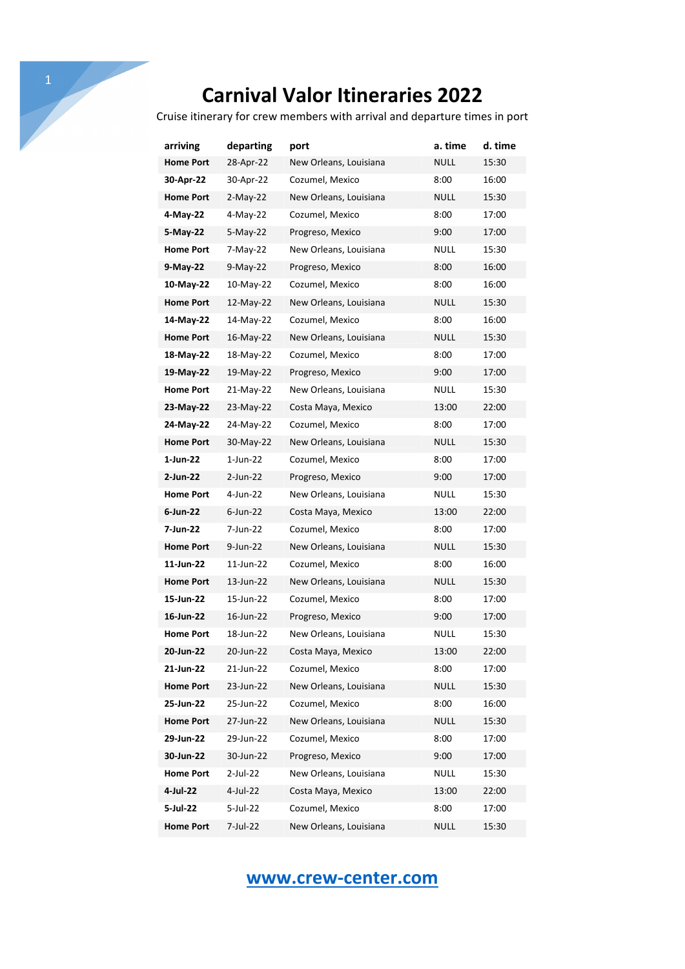Cruise itinerary for crew members with arrival and departure times in port

| arriving         | departing   | port                   | a. time     | d. time |
|------------------|-------------|------------------------|-------------|---------|
| <b>Home Port</b> | 28-Apr-22   | New Orleans, Louisiana | NULL        | 15:30   |
| 30-Apr-22        | 30-Apr-22   | Cozumel, Mexico        | 8:00        | 16:00   |
| <b>Home Port</b> | $2-May-22$  | New Orleans, Louisiana | <b>NULL</b> | 15:30   |
| 4-May-22         | 4-May-22    | Cozumel, Mexico        | 8:00        | 17:00   |
| 5-May-22         | 5-May-22    | Progreso, Mexico       | 9:00        | 17:00   |
| <b>Home Port</b> | 7-May-22    | New Orleans, Louisiana | NULL        | 15:30   |
| 9-May-22         | 9-May-22    | Progreso, Mexico       | 8:00        | 16:00   |
| 10-May-22        | 10-May-22   | Cozumel, Mexico        | 8:00        | 16:00   |
| <b>Home Port</b> | 12-May-22   | New Orleans, Louisiana | NULL        | 15:30   |
| 14-May-22        | 14-May-22   | Cozumel, Mexico        | 8:00        | 16:00   |
| <b>Home Port</b> | 16-May-22   | New Orleans, Louisiana | NULL        | 15:30   |
| 18-May-22        | 18-May-22   | Cozumel, Mexico        | 8:00        | 17:00   |
| 19-May-22        | 19-May-22   | Progreso, Mexico       | 9:00        | 17:00   |
| <b>Home Port</b> | 21-May-22   | New Orleans, Louisiana | NULL        | 15:30   |
| 23-May-22        | 23-May-22   | Costa Maya, Mexico     | 13:00       | 22:00   |
| 24-May-22        | 24-May-22   | Cozumel, Mexico        | 8:00        | 17:00   |
| <b>Home Port</b> | 30-May-22   | New Orleans, Louisiana | NULL        | 15:30   |
| 1-Jun-22         | $1$ -Jun-22 | Cozumel, Mexico        | 8:00        | 17:00   |
| 2-Jun-22         | 2-Jun-22    | Progreso, Mexico       | 9:00        | 17:00   |
| <b>Home Port</b> | 4-Jun-22    | New Orleans, Louisiana | NULL        | 15:30   |
| 6-Jun-22         | $6$ -Jun-22 | Costa Maya, Mexico     | 13:00       | 22:00   |
| 7-Jun-22         | 7-Jun-22    | Cozumel, Mexico        | 8:00        | 17:00   |
| <b>Home Port</b> | 9-Jun-22    | New Orleans, Louisiana | NULL        | 15:30   |
| 11-Jun-22        | 11-Jun-22   | Cozumel, Mexico        | 8:00        | 16:00   |
| <b>Home Port</b> | 13-Jun-22   | New Orleans, Louisiana | NULL        | 15:30   |
| 15-Jun-22        | 15-Jun-22   | Cozumel, Mexico        | 8:00        | 17:00   |
| 16-Jun-22        | 16-Jun-22   | Progreso, Mexico       | 9:00        | 17:00   |
| <b>Home Port</b> | 18-Jun-22   | New Orleans, Louisiana | NULL        | 15:30   |
| 20-Jun-22        | 20-Jun-22   | Costa Maya, Mexico     | 13:00       | 22:00   |
| 21-Jun-22        | 21-Jun-22   | Cozumel, Mexico        | 8:00        | 17:00   |
| <b>Home Port</b> | 23-Jun-22   | New Orleans, Louisiana | <b>NULL</b> | 15:30   |
| 25-Jun-22        | 25-Jun-22   | Cozumel, Mexico        | 8:00        | 16:00   |
| <b>Home Port</b> | 27-Jun-22   | New Orleans, Louisiana | <b>NULL</b> | 15:30   |
| 29-Jun-22        | 29-Jun-22   | Cozumel, Mexico        | 8:00        | 17:00   |
| 30-Jun-22        | 30-Jun-22   | Progreso, Mexico       | 9:00        | 17:00   |
| <b>Home Port</b> | 2-Jul-22    | New Orleans, Louisiana | <b>NULL</b> | 15:30   |
| 4-Jul-22         | 4-Jul-22    | Costa Maya, Mexico     | 13:00       | 22:00   |
| 5-Jul-22         | 5-Jul-22    | Cozumel, Mexico        | 8:00        | 17:00   |
| <b>Home Port</b> | 7-Jul-22    | New Orleans, Louisiana | <b>NULL</b> | 15:30   |

# **www.crew-center.com**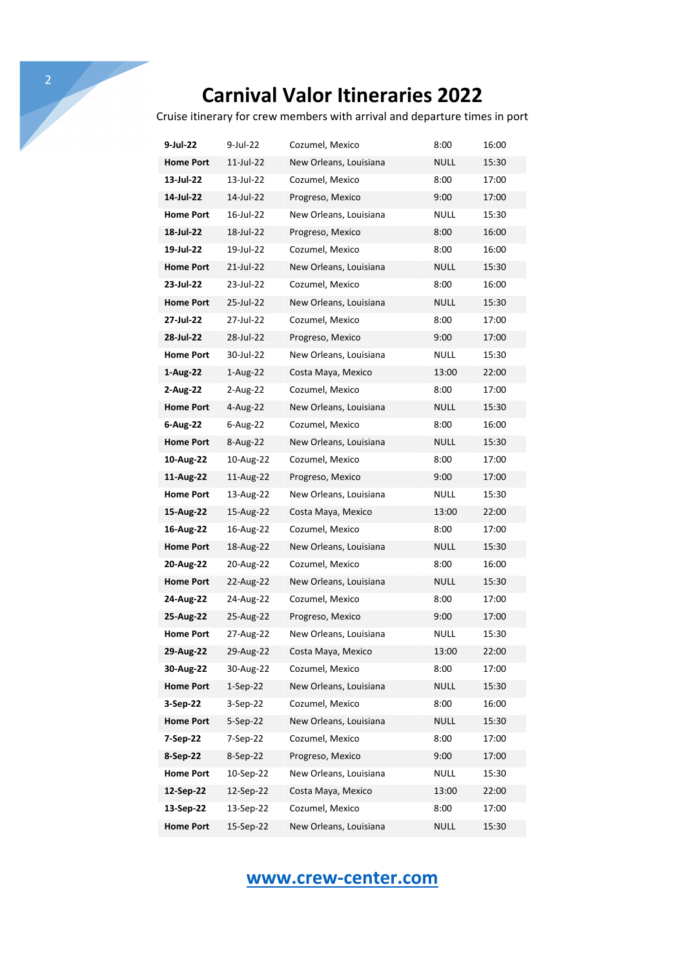Cruise itinerary for crew members with arrival and departure times in port

| 9-Jul-22         | 9-Jul-22     | Cozumel, Mexico        | 8:00        | 16:00 |
|------------------|--------------|------------------------|-------------|-------|
| <b>Home Port</b> | 11-Jul-22    | New Orleans, Louisiana | NULL        | 15:30 |
| 13-Jul-22        | 13-Jul-22    | Cozumel, Mexico        | 8:00        | 17:00 |
| 14-Jul-22        | 14-Jul-22    | Progreso, Mexico       | 9:00        | 17:00 |
| <b>Home Port</b> | 16-Jul-22    | New Orleans, Louisiana | NULL        | 15:30 |
| 18-Jul-22        | 18-Jul-22    | Progreso, Mexico       | 8:00        | 16:00 |
| 19-Jul-22        | 19-Jul-22    | Cozumel, Mexico        | 8:00        | 16:00 |
| <b>Home Port</b> | 21-Jul-22    | New Orleans, Louisiana | NULL        | 15:30 |
| 23-Jul-22        | 23-Jul-22    | Cozumel, Mexico        | 8:00        | 16:00 |
| <b>Home Port</b> | 25-Jul-22    | New Orleans, Louisiana | NULL        | 15:30 |
| 27-Jul-22        | 27-Jul-22    | Cozumel, Mexico        | 8:00        | 17:00 |
| 28-Jul-22        | 28-Jul-22    | Progreso, Mexico       | 9:00        | 17:00 |
| <b>Home Port</b> | 30-Jul-22    | New Orleans, Louisiana | NULL        | 15:30 |
| 1-Aug-22         | 1-Aug-22     | Costa Maya, Mexico     | 13:00       | 22:00 |
| 2-Aug-22         | 2-Aug-22     | Cozumel, Mexico        | 8:00        | 17:00 |
| <b>Home Port</b> | 4-Aug-22     | New Orleans, Louisiana | <b>NULL</b> | 15:30 |
| 6-Aug-22         | $6 - Aug-22$ | Cozumel, Mexico        | 8:00        | 16:00 |
| <b>Home Port</b> | 8-Aug-22     | New Orleans, Louisiana | <b>NULL</b> | 15:30 |
| 10-Aug-22        | 10-Aug-22    | Cozumel, Mexico        | 8:00        | 17:00 |
| 11-Aug-22        | 11-Aug-22    | Progreso, Mexico       | 9:00        | 17:00 |
| <b>Home Port</b> | 13-Aug-22    | New Orleans, Louisiana | NULL        | 15:30 |
| 15-Aug-22        | 15-Aug-22    | Costa Maya, Mexico     | 13:00       | 22:00 |
| 16-Aug-22        | 16-Aug-22    | Cozumel, Mexico        | 8:00        | 17:00 |
| <b>Home Port</b> | 18-Aug-22    | New Orleans, Louisiana | <b>NULL</b> | 15:30 |
| 20-Aug-22        | 20-Aug-22    | Cozumel, Mexico        | 8:00        | 16:00 |
| <b>Home Port</b> | 22-Aug-22    | New Orleans, Louisiana | NULL        | 15:30 |
| 24-Aug-22        | 24-Aug-22    | Cozumel, Mexico        | 8:00        | 17:00 |
| 25-Aug-22        | 25-Aug-22    | Progreso, Mexico       | 9:00        | 17:00 |
| <b>Home Port</b> | 27-Aug-22    | New Orleans, Louisiana | <b>NULL</b> | 15:30 |
| 29-Aug-22        | 29-Aug-22    | Costa Maya, Mexico     | 13:00       | 22:00 |
| 30-Aug-22        | 30-Aug-22    | Cozumel, Mexico        | 8:00        | 17:00 |
| <b>Home Port</b> | $1-Sep-22$   | New Orleans, Louisiana | <b>NULL</b> | 15:30 |
| 3-Sep-22         | 3-Sep-22     | Cozumel, Mexico        | 8:00        | 16:00 |
| <b>Home Port</b> | $5-Sep-22$   | New Orleans, Louisiana | <b>NULL</b> | 15:30 |
| 7-Sep-22         | 7-Sep-22     | Cozumel, Mexico        | 8:00        | 17:00 |
| 8-Sep-22         | 8-Sep-22     | Progreso, Mexico       | 9:00        | 17:00 |
| <b>Home Port</b> | 10-Sep-22    | New Orleans, Louisiana | <b>NULL</b> | 15:30 |
| 12-Sep-22        | 12-Sep-22    | Costa Maya, Mexico     | 13:00       | 22:00 |
| 13-Sep-22        | 13-Sep-22    | Cozumel, Mexico        | 8:00        | 17:00 |
| <b>Home Port</b> | 15-Sep-22    | New Orleans, Louisiana | <b>NULL</b> | 15:30 |

#### **www.crew-center.com**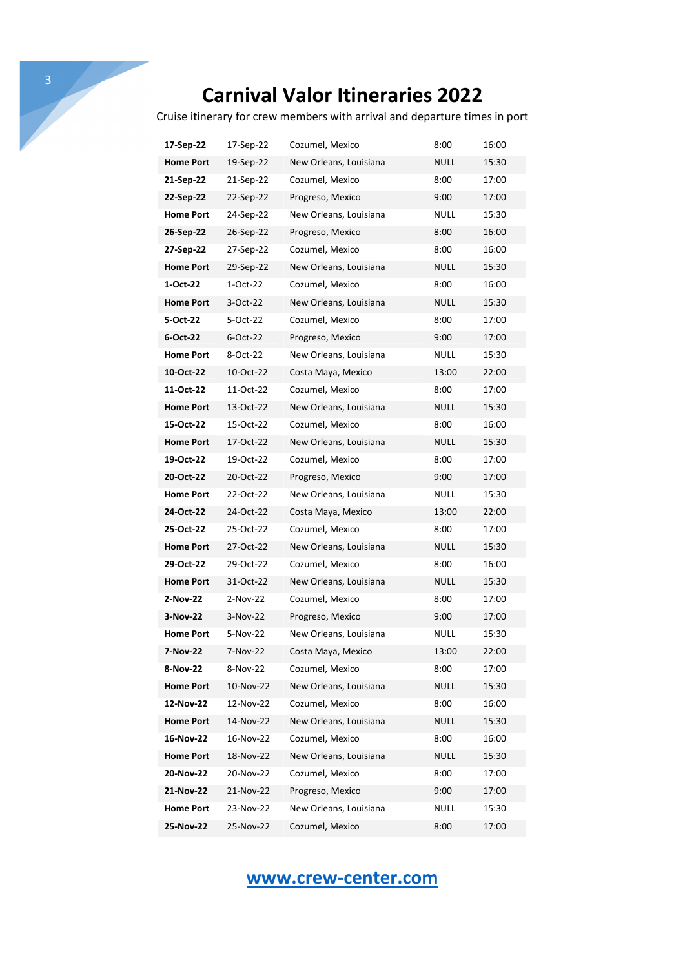Cruise itinerary for crew members with arrival and departure times in port

| 17-Sep-22        | 17-Sep-22  | Cozumel, Mexico        | 8:00        | 16:00 |
|------------------|------------|------------------------|-------------|-------|
| <b>Home Port</b> | 19-Sep-22  | New Orleans, Louisiana | NULL        | 15:30 |
| 21-Sep-22        | 21-Sep-22  | Cozumel, Mexico        | 8:00        | 17:00 |
| 22-Sep-22        | 22-Sep-22  | Progreso, Mexico       | 9:00        | 17:00 |
| <b>Home Port</b> | 24-Sep-22  | New Orleans, Louisiana | NULL        | 15:30 |
| 26-Sep-22        | 26-Sep-22  | Progreso, Mexico       | 8:00        | 16:00 |
| 27-Sep-22        | 27-Sep-22  | Cozumel, Mexico        | 8:00        | 16:00 |
| <b>Home Port</b> | 29-Sep-22  | New Orleans, Louisiana | NULL        | 15:30 |
| 1-Oct-22         | 1-Oct-22   | Cozumel, Mexico        | 8:00        | 16:00 |
| <b>Home Port</b> | 3-Oct-22   | New Orleans, Louisiana | NULL        | 15:30 |
| 5-Oct-22         | 5-Oct-22   | Cozumel, Mexico        | 8:00        | 17:00 |
| 6-Oct-22         | 6-Oct-22   | Progreso, Mexico       | 9:00        | 17:00 |
| <b>Home Port</b> | 8-Oct-22   | New Orleans, Louisiana | NULL        | 15:30 |
| 10-Oct-22        | 10-Oct-22  | Costa Maya, Mexico     | 13:00       | 22:00 |
| 11-Oct-22        | 11-Oct-22  | Cozumel, Mexico        | 8:00        | 17:00 |
| <b>Home Port</b> | 13-Oct-22  | New Orleans, Louisiana | NULL        | 15:30 |
| 15-Oct-22        | 15-Oct-22  | Cozumel, Mexico        | 8:00        | 16:00 |
| <b>Home Port</b> | 17-Oct-22  | New Orleans, Louisiana | NULL        | 15:30 |
| 19-Oct-22        | 19-Oct-22  | Cozumel, Mexico        | 8:00        | 17:00 |
| 20-Oct-22        | 20-Oct-22  | Progreso, Mexico       | 9:00        | 17:00 |
| <b>Home Port</b> | 22-Oct-22  | New Orleans, Louisiana | NULL        | 15:30 |
| 24-Oct-22        | 24-Oct-22  | Costa Maya, Mexico     | 13:00       | 22:00 |
| 25-Oct-22        | 25-Oct-22  | Cozumel, Mexico        | 8:00        | 17:00 |
| <b>Home Port</b> | 27-Oct-22  | New Orleans, Louisiana | <b>NULL</b> | 15:30 |
| 29-Oct-22        | 29-Oct-22  | Cozumel, Mexico        | 8:00        | 16:00 |
| <b>Home Port</b> | 31-Oct-22  | New Orleans, Louisiana | NULL        | 15:30 |
| 2-Nov-22         | 2-Nov-22   | Cozumel, Mexico        | 8:00        | 17:00 |
| 3-Nov-22         | $3-Nov-22$ | Progreso, Mexico       | 9:00        | 17:00 |
| <b>Home Port</b> | 5-Nov-22   | New Orleans, Louisiana | NULL        | 15:30 |
| 7-Nov-22         | 7-Nov-22   | Costa Maya, Mexico     | 13:00       | 22:00 |
| 8-Nov-22         | 8-Nov-22   | Cozumel, Mexico        | 8:00        | 17:00 |
| <b>Home Port</b> | 10-Nov-22  | New Orleans, Louisiana | <b>NULL</b> | 15:30 |
| 12-Nov-22        | 12-Nov-22  | Cozumel, Mexico        | 8:00        | 16:00 |
| <b>Home Port</b> | 14-Nov-22  | New Orleans, Louisiana | <b>NULL</b> | 15:30 |
| 16-Nov-22        | 16-Nov-22  | Cozumel, Mexico        | 8:00        | 16:00 |
| <b>Home Port</b> | 18-Nov-22  | New Orleans, Louisiana | <b>NULL</b> | 15:30 |
| 20-Nov-22        | 20-Nov-22  | Cozumel, Mexico        | 8:00        | 17:00 |
| 21-Nov-22        | 21-Nov-22  | Progreso, Mexico       | 9:00        | 17:00 |
| <b>Home Port</b> | 23-Nov-22  | New Orleans, Louisiana | NULL        | 15:30 |
| 25-Nov-22        | 25-Nov-22  | Cozumel, Mexico        | 8:00        | 17:00 |

#### **www.crew-center.com**